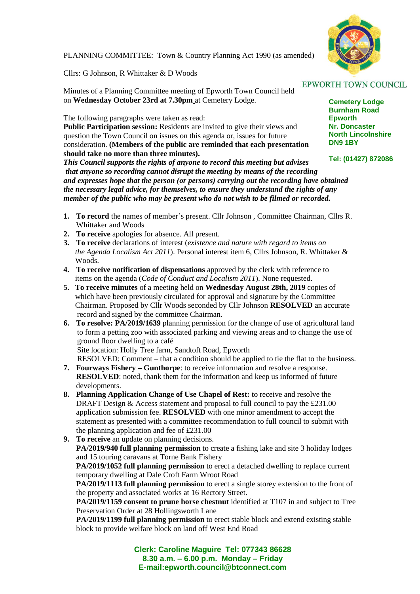

PLANNING COMMITTEE: Town & Country Planning Act 1990 (as amended)

Cllrs: G Johnson, R Whittaker & D Woods

Minutes of a Planning Committee meeting of Epworth Town Council held on **Wednesday October 23rd at 7.30pm** at Cemetery Lodge.

The following paragraphs were taken as read:

**Public Participation session:** Residents are invited to give their views and question the Town Council on issues on this agenda or, issues for future consideration. **(Members of the public are reminded that each presentation should take no more than three minutes).**

*This Council supports the rights of anyone to record this meeting but advises that anyone so recording cannot disrupt the meeting by means of the recording and expresses hope that the person (or persons) carrying out the recording have obtained the necessary legal advice, for themselves, to ensure they understand the rights of any member of the public who may be present who do not wish to be filmed or recorded.*

- **1. To record** the names of member's present. Cllr Johnson , Committee Chairman, Cllrs R. Whittaker and Woods
- **2. To receive** apologies for absence. All present.
- **3. To receive** declarations of interest (*existence and nature with regard to items on the Agenda Localism Act 2011*). Personal interest item 6, Cllrs Johnson, R. Whittaker & Woods.
- **4. To receive notification of dispensations** approved by the clerk with reference to items on the agenda (*Code of Conduct and Localism 2011*). None requested.
- **5. To receive minutes** of a meeting held on **Wednesday August 28th, 2019** copies of which have been previously circulated for approval and signature by the Committee Chairman. Proposed by Cllr Woods seconded by Cllr Johnson **RESOLVED** an accurate record and signed by the committee Chairman.
- **6. To resolve: PA/2019/1639** planning permission for the change of use of agricultural land to form a petting zoo with associated parking and viewing areas and to change the use of ground floor dwelling to a café Site location: Holly Tree farm, Sandtoft Road, Epworth

 RESOLVED: Comment – that a condition should be applied to tie the flat to the business. **7. Fourways Fishery – Gunthorpe**: to receive information and resolve a response.

- **RESOLVED**: noted, thank them for the information and keep us informed of future developments.
- **8. Planning Application Change of Use Chapel of Rest:** to receive and resolve the DRAFT Design & Access statement and proposal to full council to pay the £231.00 application submission fee. **RESOLVED** with one minor amendment to accept the statement as presented with a committee recommendation to full council to submit with the planning application and fee of £231.00
- **9. To receive** an update on planning decisions. **PA/2019/940 full planning permission** to create a fishing lake and site 3 holiday lodges and 15 touring caravans at Torne Bank Fishery

**PA/2019/1052 full planning permission** to erect a detached dwelling to replace current temporary dwelling at Dale Croft Farm Wroot Road

**PA/2019/1113 full planning permission** to erect a single storey extension to the front of the property and associated works at 16 Rectory Street.

**PA/2019/1159 consent to prune horse chestnut** identified at T107 in and subject to Tree Preservation Order at 28 Hollingsworth Lane

**PA/2019/1199 full planning permission** to erect stable block and extend existing stable block to provide welfare block on land off West End Road

> **Clerk: Caroline Maguire Tel: 077343 86628 8.30 a.m. – 6.00 p.m. Monday – Friday E-mail:epworth.council@btconnect.com**

## **EPWORTH TOWN COUNCIL**

**Cemetery Lodge Burnham Road Epworth Nr. Doncaster North Lincolnshire DN9 1BY**

**Tel: (01427) 872086**